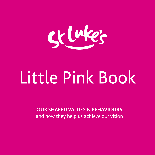

# Little Pink Book

**OUR SHARED VALUES & BEHAVIOURS**  and how they help us achieve our vision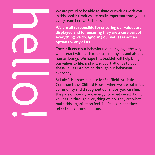We are proud to be able to share our values with you in this booklet. Values are really important throughout every team here at St Luke's.

**We are all responsible for ensuring our values are displayed and for ensuring they are a core part of everything we do. Ignoring our values is not an option for any of us.**

They influence our behaviour, our language, the way we interact with each other as employees and also as human beings. We hope this booklet will help bring our values to life, and will support all of us to put these values into action through our behaviour every day.

hello!

St Luke's is a special place for Sheffield. At Little Common Lane, Clifford House, when we are out in the community and throughout our shops, you can feel the passion, caring and energy for what we all do. Our values run through everything we do. They are what make this organisation feel like St Luke's and they reflect our common purpose.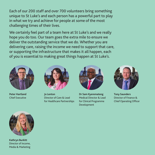Each of our 200 staff and over 700 volunteers bring something unique to St Luke's and each person has a powerful part to play in what we try and achieve for people at some of the most challenging times of their lives.

We certainly feel part of a team here at St Luke's and we really hope you do too. Our team goes the extra mile to ensure we deliver the outstanding service that we do. Whether you are delivering care, raising the income we need to support that care, or supporting the infrastructure that makes it all happen, each of you is essential to making great things happen at St Luke's.



**Peter Hartland**  Chief Executive



**Jo Lenton** Director of Care & Lead for Healthcare Partnerships



**Dr Sam Kyeremateng** Medical Director & Lead for Clinical Programme Development



**Tony Saunders** Director of Finance & Chief Operating Officer



**Kathryn Burkitt** Director of Income, Media & Marketing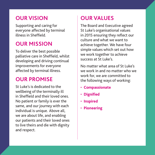# **OUR VISION**

Supporting and caring for everyone affected by terminal illness in Sheffield.

# **OUR MISSION**

To deliver the best possible palliative care in Sheffield, whilst developing and driving continual improvements for everyone affected by terminal illness.

# **OUR PROMISE**

St Luke's is dedicated to the wellbeing of the terminally ill in Sheffield and their loved ones. No patient or family is ever the same, and our journey with each individual is unique. Above all, we are about life, and enabling our patients and their loved ones to live theirs and die with dignity and respect.

# **OUR VALUES**

The Board and Executive agreed St Luke's organisational values in 2015 ensuring they reflect our culture and what we want to achieve together. We have four simple values which set out how we work together to achieve success at St Luke's.

No matter what area of St Luke's we work in and no matter who we work for, we are committed to the following ways of working:

- **Compassionate**
- **Dignified**
- **Inspired**
- **Pioneering**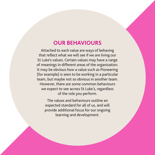#### **OUR BEHAVIOURS**

Attached to each value are ways of behaving that reflect what we will see if we are living our St Luke's values. Certain values may have a range of meanings in different areas of the organisation. It may be obvious how a value such as Pioneering (for example) is seen to be working in a particular team, but maybe not so obvious in another team. However, there are some common behaviours we expect to see across St Luke's, regardless of the role you perform.

The values and behaviours outline an expected standard for all of us, and will provide additional focus for our ongoing learning and development.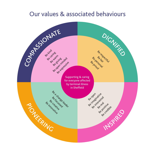### Our values & associated behaviours

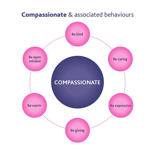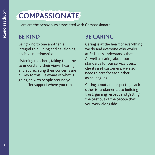# **COMPASSIONATE**

Here are the behaviours associated with Compassionate:

#### **BE KIND**

Being kind to one another is integral to building and developing positive relationships.

Listening to others, taking the time to understand their views, hearing and appreciating their concerns are all key to this. Be aware of what is going on with people around you and offer support where you can.

# **BE CARING**

Caring is at the heart of everything we do and everyone who works at St Luke's understands that. As well as caring about our standards for our service users, clients and customers, we also need to care for each other as colleagues.

Caring about and respecting each other is fundamental to building trust, gaining respect and getting the best out of the people that you work alongside.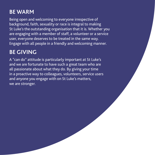# **BE WARM**

Being open and welcoming to everyone irrespective of background, faith, sexuality or race is integral to making St Luke's the outstanding organisation that it is. Whether you are engaging with a member of staff, a volunteer or a service user, everyone deserves to be treated in the same way. Engage with all people in a friendly and welcoming manner.

# **BE GIVING**

A "can do" attitude is particularly important at St Luke's and we are fortunate to have such a great team who are all passionate about what they do. By giving your time in a proactive way to colleagues, volunteers, service users and anyone you engage with on St Luke's matters, we are stronger.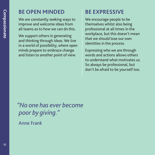#### **BE OPEN MINDED**

We are constantly seeking ways to improve and welcome ideas from all teams as to how we can do this.

We support others in generating and thinking through ideas. We live in a world of possibility, where open minds prepare to embrace change and listen to another point of view.

# **BE EXPRESSIVE**

We encourage people to be themselves whilst also being professional at all times in the workplace, but this doesn't mean that we should lose our own identities in the process.

Expressing who we are through words and actions allows others to understand what motivates us. So always be professional, but don't be afraid to be yourself too.

*"No one has ever become poor by giving."* 

Anne Frank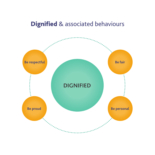# Dignified & associated behaviours

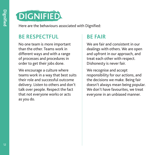

Here are the behaviours associated with Dignified:

#### **BE RESPECTFUL**

No one team is more important than the other. Teams work in different ways and with a range of processes and procedures in order to get their jobs done.

We encourage a culture where teams work in a way that best suits their role and successful outcome delivery. Listen to others and don't talk over people. Respect the fact that not everyone works or acts as you do.

### **BE FAIR**

We are fair and consistent in our dealings with others. We are open and upfront in our approach, and treat each other with respect. Dishonesty is never fair.

We recognise and accept responsibility for our actions, and the decisions we make. Being fair doesn't always mean being popular. We don't have favourites, we treat everyone in an unbiased manner.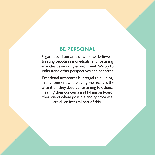#### **BE PERSONAL**

Regardless of our area of work, we believe in treating people as individuals, and fostering an inclusive working environment. We try to understand other perspectives and concerns.

Emotional awareness is integral to building an environment where everyone receives the attention they deserve. Listening to others, hearing their concerns and taking on board their views where possible and appropriate are all an integral part of this.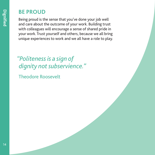#### **BE PROUD**

Being proud is the sense that you've done your job well and care about the outcome of your work. Building trust with colleagues will encourage a sense of shared pride in your work. Trust yourself and others, because we all bring unique experiences to work and we all have a role to play.

*"Politeness is a sign of dignity not subservience."* 

Theodore Roosevelt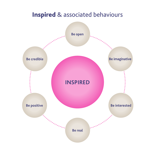# Inspired & associated behaviours

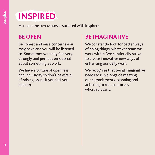# **INSPIRED**

Here are the behaviours associated with Inspired:

#### **BE OPEN**

Be honest and raise concerns you may have and you will be listened to. Sometimes you may feel very strongly and perhaps emotional about something at work.

We have a culture of openness and inclusivity so don't be afraid of raising issues if you feel you need to.

# **BE IMAGINATIVE**

We constantly look for better ways of doing things, whatever team we work within. We continually strive to create innovative new ways of enhancing our daily work.

We recognise that being imaginative needs to run alongside meeting our commitments, planning and adhering to robust process where relevant.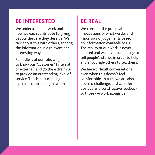#### **BE INTERESTED**

We understand our work and how we each contribute to giving people the care they deserve. We talk about this with others, sharing the information in a relevant and interesting way.

Regardless of our role, we get to know our "customer" (internal or external) and go the extra mile to provide an outstanding level of service. This is part of being a person-centred organisation.

## **BE REAL**

We consider the practical implications of what we do, and make sound judgements based on information available to us. The reality of our work is never ignored and we have the courage to tell people's stories in order to help and encourage others to tell theirs.

We have difficult conversations even when this doesn't feel comfortable. In turn, we are also open to challenge, and we offer positive and constructive feedback to those we work alongside.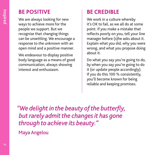# **BE POSITIVE**

We are always looking for new ways to achieve more for the people we support. But we recognise that changing things can be unsettling. We encourage a response to the unknown with an open mind and a positive manner.

We endeavour to display positive body language as a means of good communication, always showing interest and enthusiasm.

# **BE CREDIBLE**

We work in a culture whereby it's OK to fail, as we all do at some point. If you make a mistake that reflects poorly on you, tell your line manager before (s)he asks about it. Explain what you did, why you were wrong, and what you propose doing about it.

Do what you say you're going to do, by when you say you're going to do it (or update people accordingly). If you do this 100 % consistently, you'll become known for being reliable and keeping promises.

*"We delight in the beauty of the butterfly, but rarely admit the changes it has gone through to achieve its beauty."* 

Maya Angelou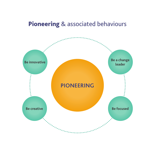# Pioneering & associated behaviours

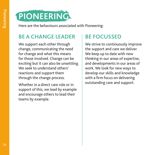

Here are the behaviours associated with Pioneering:

#### **BE A CHANGE LEADER**

We support each other through change, communicating the need for change and what this means for those involved. Change can be exciting but it can also be unsettling. We seek to understand others' reactions and support them through the change process.

Whether in a direct care role or in support of this, we lead by example and encourage others to lead their teams by example.

# **BE FOCUSSED**

We strive to continuously improve the support and care we deliver. We keep up to date with new thinking in our areas of expertise, and developments in our areas of work. We look for new ways to develop our skills and knowledge with a firm focus on delivering outstanding care and support.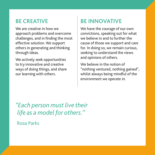#### **BE CREATIVE**

We are creative in how we approach problems and overcome challenges, and in finding the most effective solution. We support others in generating and thinking through ideas.

We actively seek opportunities to try innovative and creative ways of doing things, and share our learning with others.

# **BE INNOVATIVE**

We have the courage of our own convictions, speaking out for what we believe in and to further the cause of those we support and care for. In doing so, we remain curious, seeking to understand the views and opinions of others.

We believe in the notion of "nothing ventured, nothing gained", whilst always being mindful of the environment we operate in.

*"Each person must live their life as a model for others."* 

Rosa Parks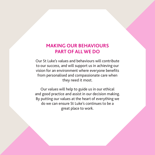#### **MAKING OUR BEHAVIOURS PART OF ALL WE DO**

Our St Luke's values and behaviours will contribute to our success, and will support us in achieving our vision for an environment where everyone benefits from personalised and compassionate care when they need it most.

Our values will help to guide us in our ethical and good practice and assist in our decision making. By putting our values at the heart of everything we do we can ensure St Luke's continues to be a great place to work.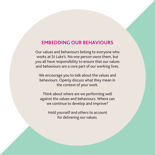#### **EMBEDDING OUR BEHAVIOURS**

Our values and behaviours belong to everyone who works at St Luke's. No one person owns them, but you all have responsibility to ensure that our values and behaviours are a core part of our working lives.

We encourage you to talk about the values and behaviours. Openly discuss what they mean in the context of your work.

Think about where are we performing well against the values and behaviours. Where can we continue to develop and improve?

Hold yourself and others to account for delivering our values.